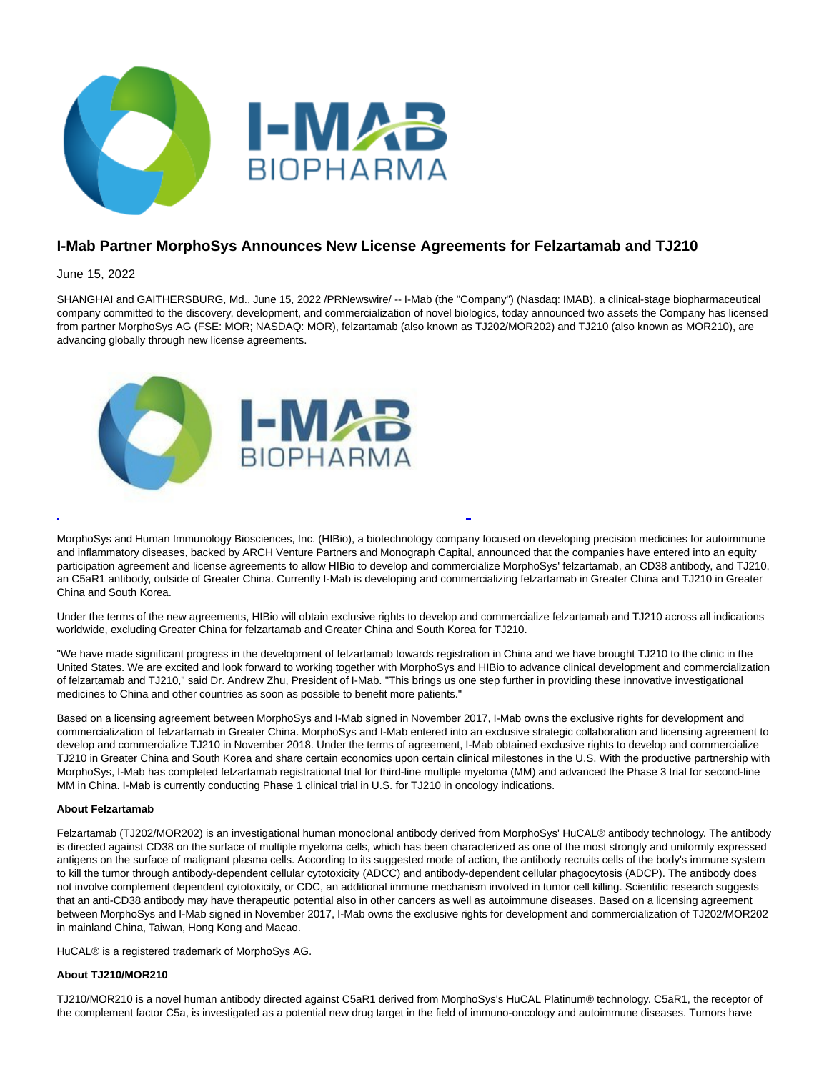

# **I-Mab Partner MorphoSys Announces New License Agreements for Felzartamab and TJ210**

# June 15, 2022

SHANGHAI and GAITHERSBURG, Md., June 15, 2022 /PRNewswire/ -- I-Mab (the "Company") (Nasdaq: IMAB), a clinical-stage biopharmaceutical company committed to the discovery, development, and commercialization of novel biologics, today announced two assets the Company has licensed from partner MorphoSys AG (FSE: MOR; NASDAQ: MOR), felzartamab (also known as TJ202/MOR202) and TJ210 (also known as MOR210), are advancing globally through new license agreements.



MorphoSys and Human Immunology Biosciences, Inc. (HIBio), a biotechnology company focused on developing precision medicines for autoimmune and inflammatory diseases, backed by ARCH Venture Partners and Monograph Capital, announced that the companies have entered into an equity participation agreement and license agreements to allow HIBio to develop and commercialize MorphoSys' felzartamab, an CD38 antibody, and TJ210, an C5aR1 antibody, outside of Greater China. Currently I-Mab is developing and commercializing felzartamab in Greater China and TJ210 in Greater China and South Korea.

L

Under the terms of the new agreements, HIBio will obtain exclusive rights to develop and commercialize felzartamab and TJ210 across all indications worldwide, excluding Greater China for felzartamab and Greater China and South Korea for TJ210.

"We have made significant progress in the development of felzartamab towards registration in China and we have brought TJ210 to the clinic in the United States. We are excited and look forward to working together with MorphoSys and HIBio to advance clinical development and commercialization of felzartamab and TJ210," said Dr. Andrew Zhu, President of I-Mab. "This brings us one step further in providing these innovative investigational medicines to China and other countries as soon as possible to benefit more patients."

Based on a licensing agreement between MorphoSys and I-Mab signed in November 2017, I-Mab owns the exclusive rights for development and commercialization of felzartamab in Greater China. MorphoSys and I-Mab entered into an exclusive strategic collaboration and licensing agreement to develop and commercialize TJ210 in November 2018. Under the terms of agreement, I-Mab obtained exclusive rights to develop and commercialize TJ210 in Greater China and South Korea and share certain economics upon certain clinical milestones in the U.S. With the productive partnership with MorphoSys, I-Mab has completed felzartamab registrational trial for third-line multiple myeloma (MM) and advanced the Phase 3 trial for second-line MM in China. I-Mab is currently conducting Phase 1 clinical trial in U.S. for TJ210 in oncology indications.

# **About Felzartamab**

Felzartamab (TJ202/MOR202) is an investigational human monoclonal antibody derived from MorphoSys' HuCAL® antibody technology. The antibody is directed against CD38 on the surface of multiple myeloma cells, which has been characterized as one of the most strongly and uniformly expressed antigens on the surface of malignant plasma cells. According to its suggested mode of action, the antibody recruits cells of the body's immune system to kill the tumor through antibody-dependent cellular cytotoxicity (ADCC) and antibody-dependent cellular phagocytosis (ADCP). The antibody does not involve complement dependent cytotoxicity, or CDC, an additional immune mechanism involved in tumor cell killing. Scientific research suggests that an anti-CD38 antibody may have therapeutic potential also in other cancers as well as autoimmune diseases. Based on a licensing agreement between MorphoSys and I-Mab signed in November 2017, I-Mab owns the exclusive rights for development and commercialization of TJ202/MOR202 in mainland China, Taiwan, Hong Kong and Macao.

HuCAL® is a registered trademark of MorphoSys AG.

## **About TJ210/MOR210**

TJ210/MOR210 is a novel human antibody directed against C5aR1 derived from MorphoSys's HuCAL Platinum® technology. C5aR1, the receptor of the complement factor C5a, is investigated as a potential new drug target in the field of immuno-oncology and autoimmune diseases. Tumors have